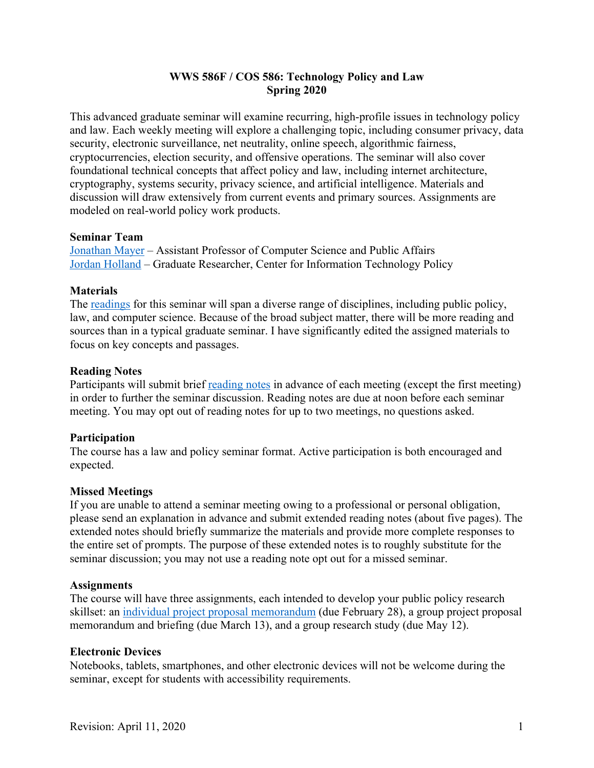## **WWS 586F / COS 586: Technology Policy and Law Spring 2020**

This advanced graduate seminar will examine recurring, high-profile issues in technology policy and law. Each weekly meeting will explore a challenging topic, including consumer privacy, data security, electronic surveillance, net neutrality, online speech, algorithmic fairness, cryptocurrencies, election security, and offensive operations. The seminar will also cover foundational technical concepts that affect policy and law, including internet architecture, cryptography, systems security, privacy science, and artificial intelligence. Materials and discussion will draw extensively from current events and primary sources. Assignments are modeled on real-world policy work products.

#### **Seminar Team**

Jonathan Mayer – Assistant Professor of Computer Science and Public Affairs Jordan Holland – Graduate Researcher, Center for Information Technology Policy

#### **Materials**

The readings for this seminar will span a diverse range of disciplines, including public policy, law, and computer science. Because of the broad subject matter, there will be more reading and sources than in a typical graduate seminar. I have significantly edited the assigned materials to focus on key concepts and passages.

#### **Reading Notes**

Participants will submit brief reading notes in advance of each meeting (except the first meeting) in order to further the seminar discussion. Reading notes are due at noon before each seminar meeting. You may opt out of reading notes for up to two meetings, no questions asked.

## **Participation**

The course has a law and policy seminar format. Active participation is both encouraged and expected.

## **Missed Meetings**

If you are unable to attend a seminar meeting owing to a professional or personal obligation, please send an explanation in advance and submit extended reading notes (about five pages). The extended notes should briefly summarize the materials and provide more complete responses to the entire set of prompts. The purpose of these extended notes is to roughly substitute for the seminar discussion; you may not use a reading note opt out for a missed seminar.

#### **Assignments**

The course will have three assignments, each intended to develop your public policy research skillset: an individual project proposal memorandum (due February 28), a group project proposal memorandum and briefing (due March 13), and a group research study (due May 12).

## **Electronic Devices**

Notebooks, tablets, smartphones, and other electronic devices will not be welcome during the seminar, except for students with accessibility requirements.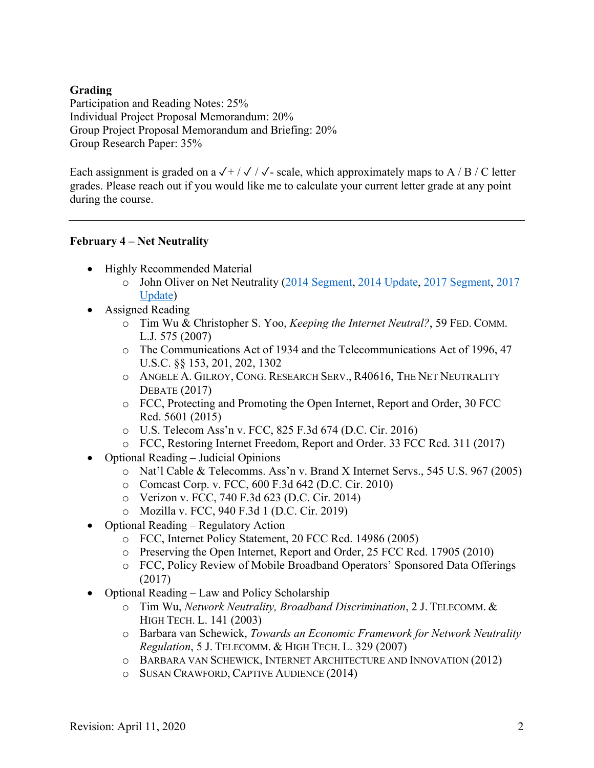## **Grading**

Participation and Reading Notes: 25% Individual Project Proposal Memorandum: 20% Group Project Proposal Memorandum and Briefing: 20% Group Research Paper: 35%

Each assignment is graded on a  $\sqrt{+}/\sqrt{}/\sqrt{ }$ - scale, which approximately maps to A / B / C letter grades. Please reach out if you would like me to calculate your current letter grade at any point during the course.

#### **February 4 – Net Neutrality**

- Highly Recommended Material
	- o John Oliver on Net Neutrality (2014 Segment, 2014 Update, 2017 Segment, 2017 Update)
- Assigned Reading
	- o Tim Wu & Christopher S. Yoo, *Keeping the Internet Neutral?*, 59 FED. COMM. L.J. 575 (2007)
	- o The Communications Act of 1934 and the Telecommunications Act of 1996, 47 U.S.C. §§ 153, 201, 202, 1302
	- o ANGELE A. GILROY, CONG. RESEARCH SERV., R40616, THE NET NEUTRALITY DEBATE (2017)
	- o FCC, Protecting and Promoting the Open Internet, Report and Order, 30 FCC Rcd. 5601 (2015)
	- o U.S. Telecom Ass'n v. FCC, 825 F.3d 674 (D.C. Cir. 2016)
	- o FCC, Restoring Internet Freedom, Report and Order. 33 FCC Rcd. 311 (2017)
- Optional Reading Judicial Opinions
	- o Nat'l Cable & Telecomms. Ass'n v. Brand X Internet Servs., 545 U.S. 967 (2005)
	- o Comcast Corp. v. FCC, 600 F.3d 642 (D.C. Cir. 2010)
	- o Verizon v. FCC, 740 F.3d 623 (D.C. Cir. 2014)
	- o Mozilla v. FCC, 940 F.3d 1 (D.C. Cir. 2019)
- Optional Reading Regulatory Action
	- o FCC, Internet Policy Statement, 20 FCC Rcd. 14986 (2005)
	- o Preserving the Open Internet, Report and Order, 25 FCC Rcd. 17905 (2010)
	- o FCC, Policy Review of Mobile Broadband Operators' Sponsored Data Offerings (2017)
- Optional Reading Law and Policy Scholarship
	- o Tim Wu, *Network Neutrality, Broadband Discrimination*, 2 J. TELECOMM. & HIGH TECH. L. 141 (2003)
	- o Barbara van Schewick, *Towards an Economic Framework for Network Neutrality Regulation*, 5 J. TELECOMM. & HIGH TECH. L. 329 (2007)
	- o BARBARA VAN SCHEWICK, INTERNET ARCHITECTURE AND INNOVATION (2012)
	- o SUSAN CRAWFORD, CAPTIVE AUDIENCE (2014)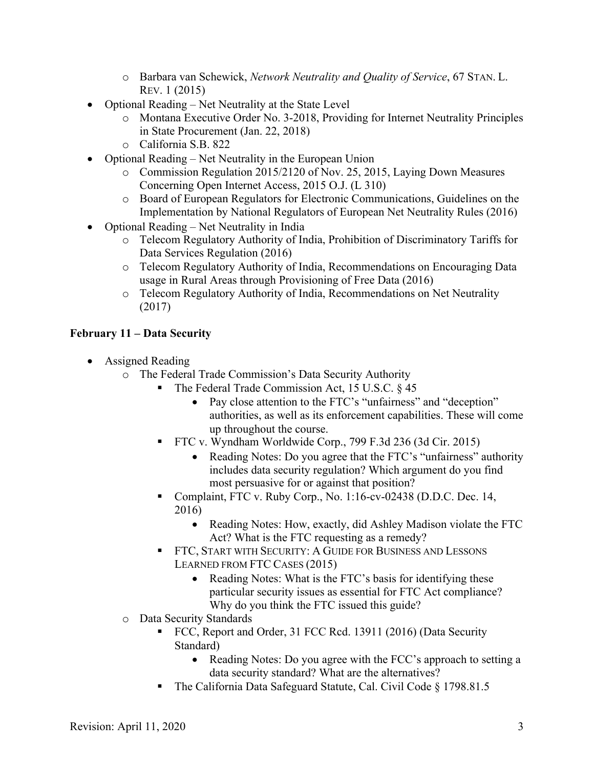- o Barbara van Schewick, *Network Neutrality and Quality of Service*, 67 STAN. L. REV. 1 (2015)
- Optional Reading Net Neutrality at the State Level
	- o Montana Executive Order No. 3-2018, Providing for Internet Neutrality Principles in State Procurement (Jan. 22, 2018)
	- o California S.B. 822
- Optional Reading Net Neutrality in the European Union
	- o Commission Regulation 2015/2120 of Nov. 25, 2015, Laying Down Measures Concerning Open Internet Access, 2015 O.J. (L 310)
	- o Board of European Regulators for Electronic Communications, Guidelines on the Implementation by National Regulators of European Net Neutrality Rules (2016)
- Optional Reading Net Neutrality in India
	- o Telecom Regulatory Authority of India, Prohibition of Discriminatory Tariffs for Data Services Regulation (2016)
	- o Telecom Regulatory Authority of India, Recommendations on Encouraging Data usage in Rural Areas through Provisioning of Free Data (2016)
	- o Telecom Regulatory Authority of India, Recommendations on Net Neutrality (2017)

# **February 11 – Data Security**

- Assigned Reading
	- o The Federal Trade Commission's Data Security Authority
		- The Federal Trade Commission Act, 15 U.S.C. § 45
			- Pay close attention to the FTC's "unfairness" and "deception" authorities, as well as its enforcement capabilities. These will come up throughout the course.
		- § FTC v. Wyndham Worldwide Corp., 799 F.3d 236 (3d Cir. 2015)
			- Reading Notes: Do you agree that the FTC's "unfairness" authority includes data security regulation? Which argument do you find most persuasive for or against that position?
		- Complaint, FTC v. Ruby Corp., No. 1:16-cv-02438 (D.D.C. Dec. 14, 2016)
			- Reading Notes: How, exactly, did Ashley Madison violate the FTC Act? What is the FTC requesting as a remedy?
		- § FTC, START WITH SECURITY: A GUIDE FOR BUSINESS AND LESSONS LEARNED FROM FTC CASES (2015)
			- Reading Notes: What is the FTC's basis for identifying these particular security issues as essential for FTC Act compliance? Why do you think the FTC issued this guide?
	- o Data Security Standards
		- FCC, Report and Order, 31 FCC Rcd. 13911 (2016) (Data Security Standard)
			- Reading Notes: Do you agree with the FCC's approach to setting a data security standard? What are the alternatives?
		- § The California Data Safeguard Statute, Cal. Civil Code § 1798.81.5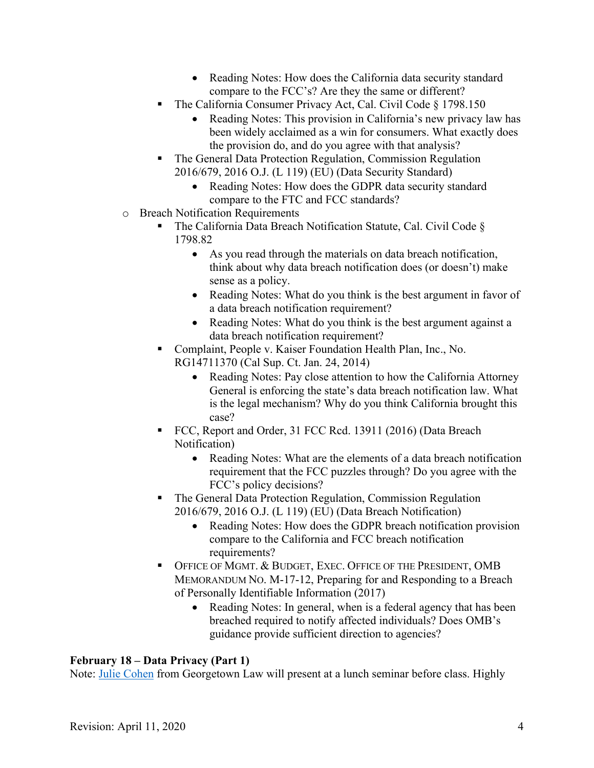- Reading Notes: How does the California data security standard compare to the FCC's? Are they the same or different?
- § The California Consumer Privacy Act, Cal. Civil Code § 1798.150
	- Reading Notes: This provision in California's new privacy law has been widely acclaimed as a win for consumers. What exactly does the provision do, and do you agree with that analysis?
- The General Data Protection Regulation, Commission Regulation 2016/679, 2016 O.J. (L 119) (EU) (Data Security Standard)
	- Reading Notes: How does the GDPR data security standard compare to the FTC and FCC standards?
- o Breach Notification Requirements
	- The California Data Breach Notification Statute, Cal. Civil Code & 1798.82
		- As you read through the materials on data breach notification, think about why data breach notification does (or doesn't) make sense as a policy.
		- Reading Notes: What do you think is the best argument in favor of a data breach notification requirement?
		- Reading Notes: What do you think is the best argument against a data breach notification requirement?
	- Complaint, People v. Kaiser Foundation Health Plan, Inc., No. RG14711370 (Cal Sup. Ct. Jan. 24, 2014)
		- Reading Notes: Pay close attention to how the California Attorney General is enforcing the state's data breach notification law. What is the legal mechanism? Why do you think California brought this case?
	- FCC, Report and Order, 31 FCC Rcd. 13911 (2016) (Data Breach Notification)
		- Reading Notes: What are the elements of a data breach notification requirement that the FCC puzzles through? Do you agree with the FCC's policy decisions?
	- § The General Data Protection Regulation, Commission Regulation 2016/679, 2016 O.J. (L 119) (EU) (Data Breach Notification)
		- Reading Notes: How does the GDPR breach notification provision compare to the California and FCC breach notification requirements?
	- **OFFICE OF MGMT. & BUDGET, EXEC. OFFICE OF THE PRESIDENT, OMB** MEMORANDUM NO. M-17-12, Preparing for and Responding to a Breach of Personally Identifiable Information (2017)
		- Reading Notes: In general, when is a federal agency that has been breached required to notify affected individuals? Does OMB's guidance provide sufficient direction to agencies?

# **February 18 – Data Privacy (Part 1)**

Note: Julie Cohen from Georgetown Law will present at a lunch seminar before class. Highly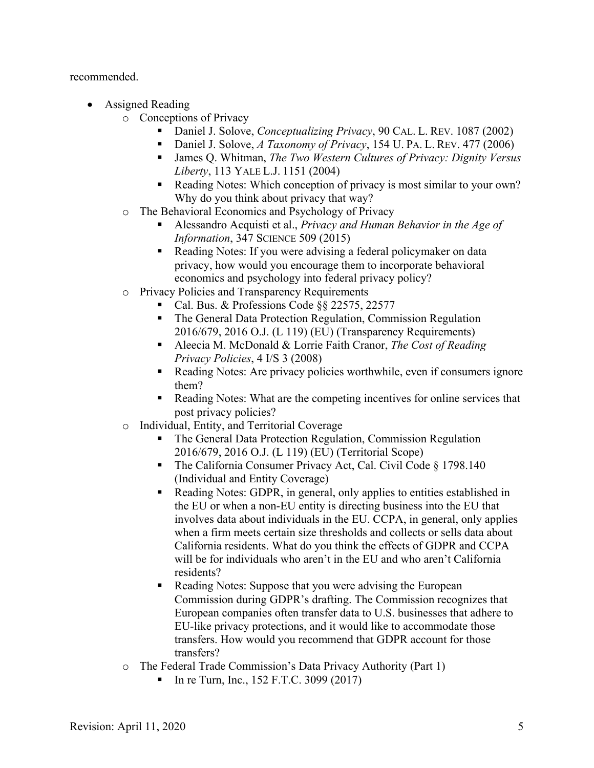recommended.

- Assigned Reading
	- o Conceptions of Privacy
		- § Daniel J. Solove, *Conceptualizing Privacy*, 90 CAL. L. REV. 1087 (2002)
		- § Daniel J. Solove, *A Taxonomy of Privacy*, 154 U. PA. L. REV. 477 (2006)
		- § James Q. Whitman, *The Two Western Cultures of Privacy: Dignity Versus Liberty*, 113 YALE L.J. 1151 (2004)
		- Reading Notes: Which conception of privacy is most similar to your own? Why do you think about privacy that way?
	- o The Behavioral Economics and Psychology of Privacy
		- § Alessandro Acquisti et al., *Privacy and Human Behavior in the Age of Information*, 347 SCIENCE 509 (2015)
		- Reading Notes: If you were advising a federal policymaker on data privacy, how would you encourage them to incorporate behavioral economics and psychology into federal privacy policy?
	- o Privacy Policies and Transparency Requirements
		- § Cal. Bus. & Professions Code §§ 22575, 22577
		- § The General Data Protection Regulation, Commission Regulation 2016/679, 2016 O.J. (L 119) (EU) (Transparency Requirements)
		- Aleecia M. McDonald & Lorrie Faith Cranor, *The Cost of Reading Privacy Policies*, 4 I/S 3 (2008)
		- Reading Notes: Are privacy policies worthwhile, even if consumers ignore them?
		- § Reading Notes: What are the competing incentives for online services that post privacy policies?
	- o Individual, Entity, and Territorial Coverage
		- The General Data Protection Regulation, Commission Regulation 2016/679, 2016 O.J. (L 119) (EU) (Territorial Scope)
		- The California Consumer Privacy Act, Cal. Civil Code § 1798.140 (Individual and Entity Coverage)
		- § Reading Notes: GDPR, in general, only applies to entities established in the EU or when a non-EU entity is directing business into the EU that involves data about individuals in the EU. CCPA, in general, only applies when a firm meets certain size thresholds and collects or sells data about California residents. What do you think the effects of GDPR and CCPA will be for individuals who aren't in the EU and who aren't California residents?
		- Reading Notes: Suppose that you were advising the European Commission during GDPR's drafting. The Commission recognizes that European companies often transfer data to U.S. businesses that adhere to EU-like privacy protections, and it would like to accommodate those transfers. How would you recommend that GDPR account for those transfers?
	- o The Federal Trade Commission's Data Privacy Authority (Part 1)
		- § In re Turn, Inc., 152 F.T.C. 3099 (2017)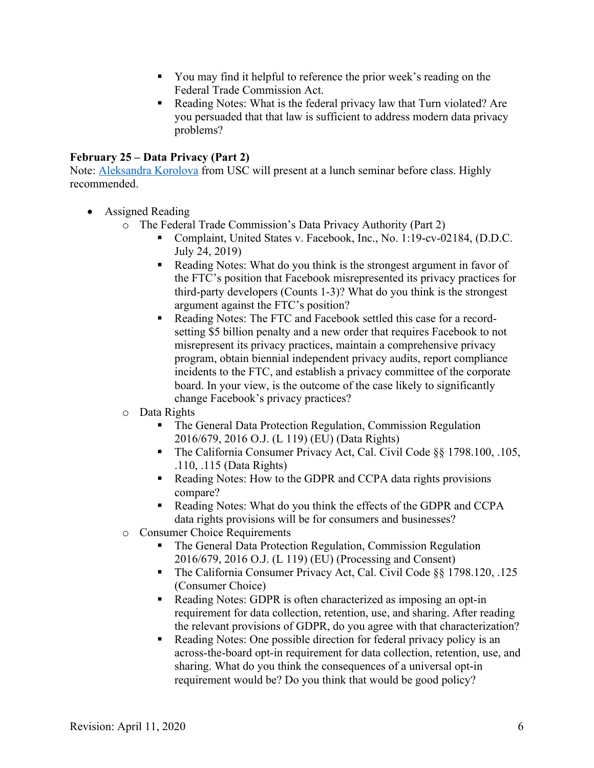- You may find it helpful to reference the prior week's reading on the Federal Trade Commission Act.
- Reading Notes: What is the federal privacy law that Turn violated? Are you persuaded that that law is sufficient to address modern data privacy problems?

#### **February 25 – Data Privacy (Part 2)**

Note: Aleksandra Korolova from USC will present at a lunch seminar before class. Highly recommended.

- Assigned Reading
	- o The Federal Trade Commission's Data Privacy Authority (Part 2)
		- Complaint, United States v. Facebook, Inc., No. 1:19-cv-02184, (D.D.C. July 24, 2019)
		- Reading Notes: What do you think is the strongest argument in favor of the FTC's position that Facebook misrepresented its privacy practices for third-party developers (Counts 1-3)? What do you think is the strongest argument against the FTC's position?
		- Reading Notes: The FTC and Facebook settled this case for a recordsetting \$5 billion penalty and a new order that requires Facebook to not misrepresent its privacy practices, maintain a comprehensive privacy program, obtain biennial independent privacy audits, report compliance incidents to the FTC, and establish a privacy committee of the corporate board. In your view, is the outcome of the case likely to significantly change Facebook's privacy practices?
	- o Data Rights
		- The General Data Protection Regulation, Commission Regulation 2016/679, 2016 O.J. (L 119) (EU) (Data Rights)
		- The California Consumer Privacy Act, Cal. Civil Code §§ 1798.100, .105, .110, .115 (Data Rights)
		- Reading Notes: How to the GDPR and CCPA data rights provisions compare?
		- Reading Notes: What do you think the effects of the GDPR and CCPA data rights provisions will be for consumers and businesses?
	- o Consumer Choice Requirements
		- The General Data Protection Regulation, Commission Regulation 2016/679, 2016 O.J. (L 119) (EU) (Processing and Consent)
		- The California Consumer Privacy Act, Cal. Civil Code §§ 1798.120, .125 (Consumer Choice)
		- Reading Notes: GDPR is often characterized as imposing an opt-in requirement for data collection, retention, use, and sharing. After reading the relevant provisions of GDPR, do you agree with that characterization?
		- Reading Notes: One possible direction for federal privacy policy is an across-the-board opt-in requirement for data collection, retention, use, and sharing. What do you think the consequences of a universal opt-in requirement would be? Do you think that would be good policy?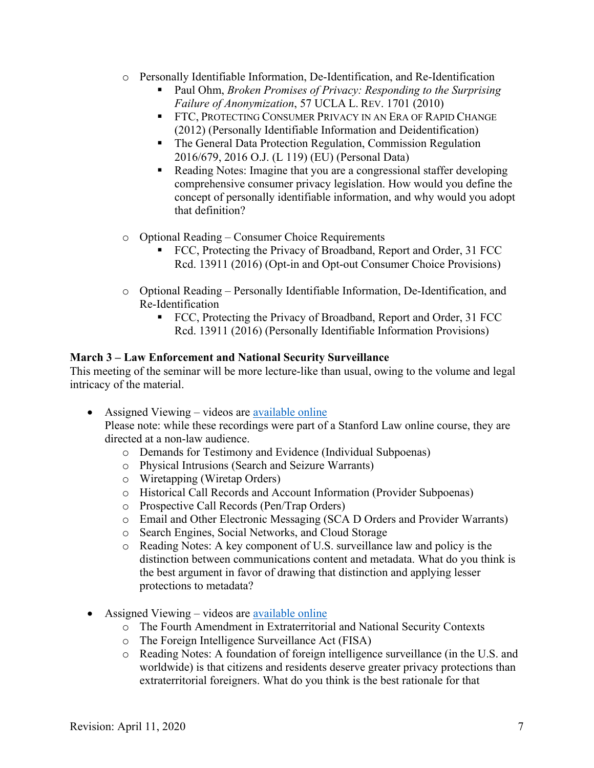- o Personally Identifiable Information, De-Identification, and Re-Identification
	- § Paul Ohm, *Broken Promises of Privacy: Responding to the Surprising Failure of Anonymization*, 57 UCLA L. REV. 1701 (2010)
	- **FTC, PROTECTING CONSUMER PRIVACY IN AN ERA OF RAPID CHANGE** (2012) (Personally Identifiable Information and Deidentification)
	- The General Data Protection Regulation, Commission Regulation 2016/679, 2016 O.J. (L 119) (EU) (Personal Data)
	- Reading Notes: Imagine that you are a congressional staffer developing comprehensive consumer privacy legislation. How would you define the concept of personally identifiable information, and why would you adopt that definition?
- o Optional Reading Consumer Choice Requirements
	- FCC, Protecting the Privacy of Broadband, Report and Order, 31 FCC Rcd. 13911 (2016) (Opt-in and Opt-out Consumer Choice Provisions)
- o Optional Reading Personally Identifiable Information, De-Identification, and Re-Identification
	- FCC, Protecting the Privacy of Broadband, Report and Order, 31 FCC Rcd. 13911 (2016) (Personally Identifiable Information Provisions)

# **March 3 – Law Enforcement and National Security Surveillance**

This meeting of the seminar will be more lecture-like than usual, owing to the volume and legal intricacy of the material.

- Assigned Viewing videos are available online Please note: while these recordings were part of a Stanford Law online course, they are directed at a non-law audience.
	- o Demands for Testimony and Evidence (Individual Subpoenas)
	- o Physical Intrusions (Search and Seizure Warrants)
	- o Wiretapping (Wiretap Orders)
	- o Historical Call Records and Account Information (Provider Subpoenas)
	- o Prospective Call Records (Pen/Trap Orders)
	- o Email and Other Electronic Messaging (SCA D Orders and Provider Warrants)
	- o Search Engines, Social Networks, and Cloud Storage
	- o Reading Notes: A key component of U.S. surveillance law and policy is the distinction between communications content and metadata. What do you think is the best argument in favor of drawing that distinction and applying lesser protections to metadata?
- Assigned Viewing videos are available online
	- o The Fourth Amendment in Extraterritorial and National Security Contexts
	- o The Foreign Intelligence Surveillance Act (FISA)
	- o Reading Notes: A foundation of foreign intelligence surveillance (in the U.S. and worldwide) is that citizens and residents deserve greater privacy protections than extraterritorial foreigners. What do you think is the best rationale for that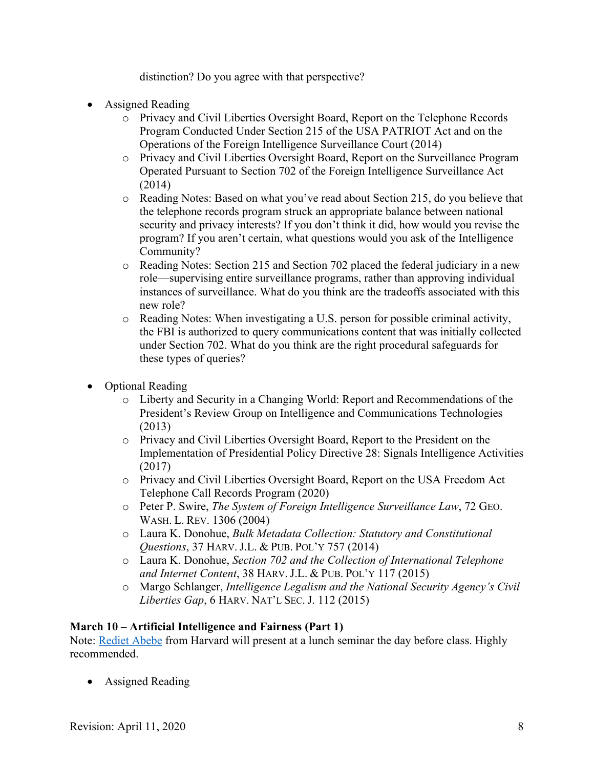distinction? Do you agree with that perspective?

- Assigned Reading
	- o Privacy and Civil Liberties Oversight Board, Report on the Telephone Records Program Conducted Under Section 215 of the USA PATRIOT Act and on the Operations of the Foreign Intelligence Surveillance Court (2014)
	- o Privacy and Civil Liberties Oversight Board, Report on the Surveillance Program Operated Pursuant to Section 702 of the Foreign Intelligence Surveillance Act (2014)
	- o Reading Notes: Based on what you've read about Section 215, do you believe that the telephone records program struck an appropriate balance between national security and privacy interests? If you don't think it did, how would you revise the program? If you aren't certain, what questions would you ask of the Intelligence Community?
	- o Reading Notes: Section 215 and Section 702 placed the federal judiciary in a new role—supervising entire surveillance programs, rather than approving individual instances of surveillance. What do you think are the tradeoffs associated with this new role?
	- o Reading Notes: When investigating a U.S. person for possible criminal activity, the FBI is authorized to query communications content that was initially collected under Section 702. What do you think are the right procedural safeguards for these types of queries?
- Optional Reading
	- o Liberty and Security in a Changing World: Report and Recommendations of the President's Review Group on Intelligence and Communications Technologies (2013)
	- o Privacy and Civil Liberties Oversight Board, Report to the President on the Implementation of Presidential Policy Directive 28: Signals Intelligence Activities (2017)
	- o Privacy and Civil Liberties Oversight Board, Report on the USA Freedom Act Telephone Call Records Program (2020)
	- o Peter P. Swire, *The System of Foreign Intelligence Surveillance Law*, 72 GEO. WASH. L. REV. 1306 (2004)
	- o Laura K. Donohue, *Bulk Metadata Collection: Statutory and Constitutional Questions*, 37 HARV. J.L. & PUB. POL'Y 757 (2014)
	- o Laura K. Donohue, *Section 702 and the Collection of International Telephone and Internet Content*, 38 HARV. J.L. & PUB. POL'Y 117 (2015)
	- o Margo Schlanger, *Intelligence Legalism and the National Security Agency's Civil Liberties Gap*, 6 HARV. NAT'L SEC. J. 112 (2015)

# **March 10 – Artificial Intelligence and Fairness (Part 1)**

Note: Rediet Abebe from Harvard will present at a lunch seminar the day before class. Highly recommended.

• Assigned Reading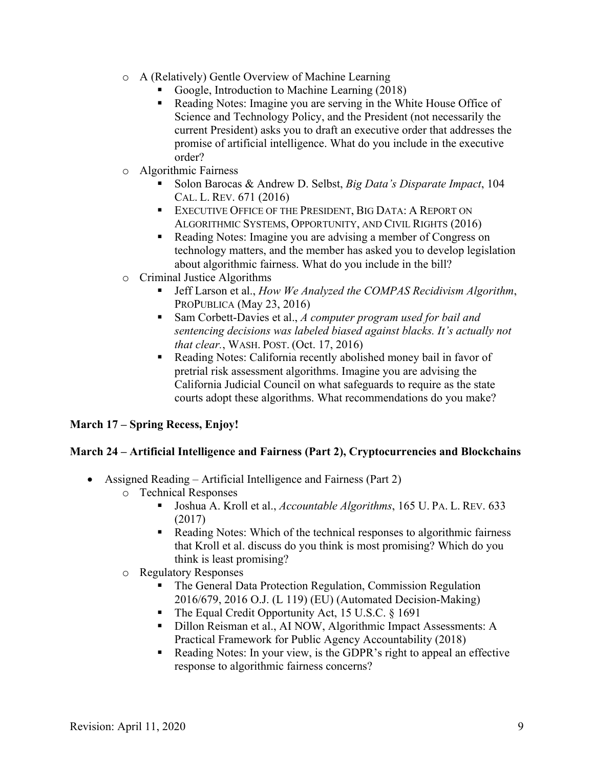- o A (Relatively) Gentle Overview of Machine Learning
	- § Google, Introduction to Machine Learning (2018)
	- Reading Notes: Imagine you are serving in the White House Office of Science and Technology Policy, and the President (not necessarily the current President) asks you to draft an executive order that addresses the promise of artificial intelligence. What do you include in the executive order?
- o Algorithmic Fairness
	- Solon Barocas & Andrew D. Selbst, *Big Data's Disparate Impact*, 104 CAL. L. REV. 671 (2016)
	- **EXECUTIVE OFFICE OF THE PRESIDENT, BIG DATA: A REPORT ON** ALGORITHMIC SYSTEMS, OPPORTUNITY, AND CIVIL RIGHTS (2016)
	- Reading Notes: Imagine you are advising a member of Congress on technology matters, and the member has asked you to develop legislation about algorithmic fairness. What do you include in the bill?
- o Criminal Justice Algorithms
	- § Jeff Larson et al., *How We Analyzed the COMPAS Recidivism Algorithm*, PROPUBLICA (May 23, 2016)
	- § Sam Corbett-Davies et al., *A computer program used for bail and sentencing decisions was labeled biased against blacks. It's actually not that clear.*, WASH. POST. (Oct. 17, 2016)
	- Reading Notes: California recently abolished money bail in favor of pretrial risk assessment algorithms. Imagine you are advising the California Judicial Council on what safeguards to require as the state courts adopt these algorithms. What recommendations do you make?

#### **March 17 – Spring Recess, Enjoy!**

#### **March 24 – Artificial Intelligence and Fairness (Part 2), Cryptocurrencies and Blockchains**

- Assigned Reading Artificial Intelligence and Fairness (Part 2)
	- o Technical Responses
		- Joshua A. Kroll et al., *Accountable Algorithms*, 165 U. PA. L. REV. 633 (2017)
		- Reading Notes: Which of the technical responses to algorithmic fairness that Kroll et al. discuss do you think is most promising? Which do you think is least promising?
	- o Regulatory Responses
		- The General Data Protection Regulation, Commission Regulation 2016/679, 2016 O.J. (L 119) (EU) (Automated Decision-Making)
		- The Equal Credit Opportunity Act, 15 U.S.C. § 1691
		- Dillon Reisman et al., AI NOW, Algorithmic Impact Assessments: A Practical Framework for Public Agency Accountability (2018)
		- Reading Notes: In your view, is the GDPR's right to appeal an effective response to algorithmic fairness concerns?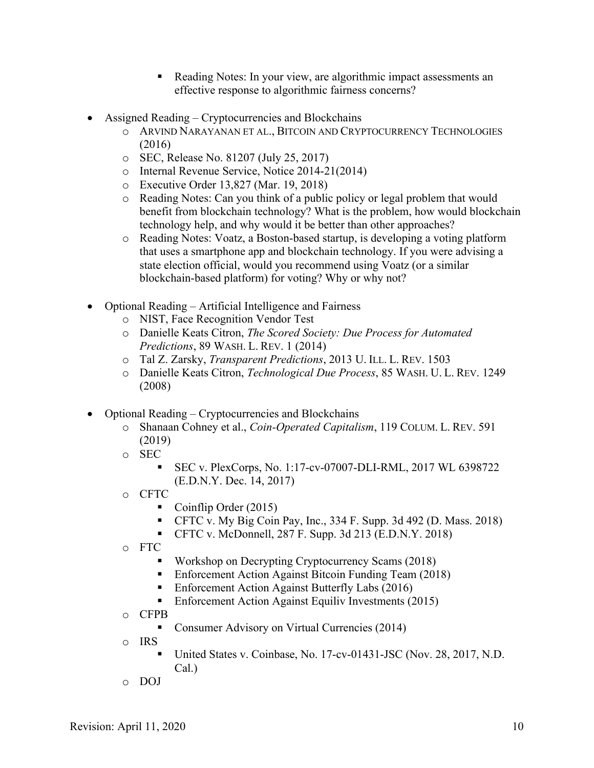- Reading Notes: In your view, are algorithmic impact assessments an effective response to algorithmic fairness concerns?
- Assigned Reading Cryptocurrencies and Blockchains
	- o ARVIND NARAYANAN ET AL., BITCOIN AND CRYPTOCURRENCY TECHNOLOGIES (2016)
	- o SEC, Release No. 81207 (July 25, 2017)
	- o Internal Revenue Service, Notice 2014-21(2014)
	- o Executive Order 13,827 (Mar. 19, 2018)
	- o Reading Notes: Can you think of a public policy or legal problem that would benefit from blockchain technology? What is the problem, how would blockchain technology help, and why would it be better than other approaches?
	- o Reading Notes: Voatz, a Boston-based startup, is developing a voting platform that uses a smartphone app and blockchain technology. If you were advising a state election official, would you recommend using Voatz (or a similar blockchain-based platform) for voting? Why or why not?
- Optional Reading Artificial Intelligence and Fairness
	- o NIST, Face Recognition Vendor Test
	- o Danielle Keats Citron, *The Scored Society: Due Process for Automated Predictions*, 89 WASH. L. REV. 1 (2014)
	- o Tal Z. Zarsky, *Transparent Predictions*, 2013 U. ILL. L. REV. 1503
	- o Danielle Keats Citron, *Technological Due Process*, 85 WASH. U. L. REV. 1249 (2008)
- Optional Reading Cryptocurrencies and Blockchains
	- o Shanaan Cohney et al., *Coin-Operated Capitalism*, 119 COLUM. L. REV. 591 (2019)
	- o SEC
		- § SEC v. PlexCorps, No. 1:17-cv-07007-DLI-RML, 2017 WL 6398722 (E.D.N.Y. Dec. 14, 2017)
	- o CFTC
		- § Coinflip Order (2015)
		- CFTC v. My Big Coin Pay, Inc., 334 F. Supp. 3d 492 (D. Mass. 2018)
		- CFTC v. McDonnell, 287 F. Supp. 3d 213 (E.D.N.Y. 2018)
	- o FTC
		- § Workshop on Decrypting Cryptocurrency Scams (2018)
		- Enforcement Action Against Bitcoin Funding Team (2018)
		- Enforcement Action Against Butterfly Labs (2016)
		- Enforcement Action Against Equiliv Investments (2015)
	- o CFPB
		- Consumer Advisory on Virtual Currencies (2014)
	- o IRS
		- § United States v. Coinbase, No. 17-cv-01431-JSC (Nov. 28, 2017, N.D. Cal.)
	- o DOJ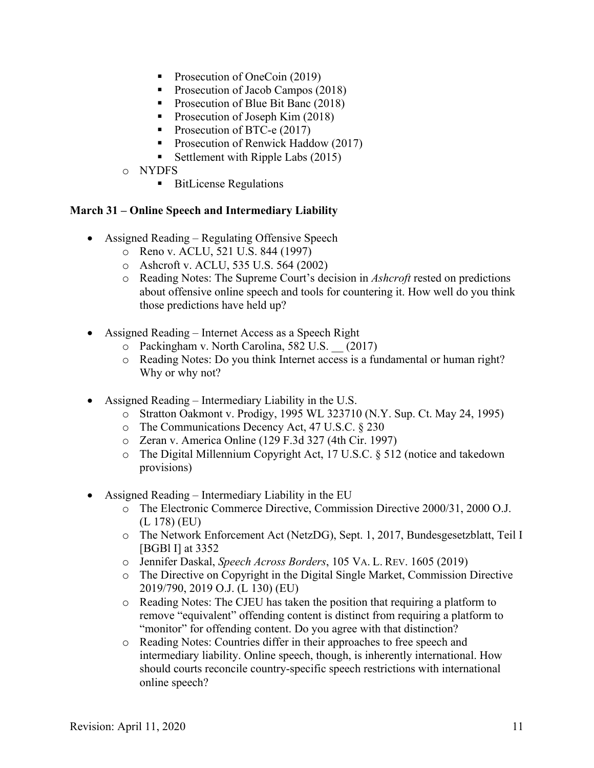- Prosecution of OneCoin (2019)
- Prosecution of Jacob Campos (2018)
- Prosecution of Blue Bit Banc (2018)
- Prosecution of Joseph Kim (2018)
- Prosecution of BTC-e (2017)
- Prosecution of Renwick Haddow (2017)
- Settlement with Ripple Labs (2015)
- o NYDFS
	- BitLicense Regulations

#### **March 31 – Online Speech and Intermediary Liability**

- Assigned Reading Regulating Offensive Speech
	- o Reno v. ACLU, 521 U.S. 844 (1997)
	- o Ashcroft v. ACLU, 535 U.S. 564 (2002)
	- o Reading Notes: The Supreme Court's decision in *Ashcroft* rested on predictions about offensive online speech and tools for countering it. How well do you think those predictions have held up?
- Assigned Reading Internet Access as a Speech Right
	- o Packingham v. North Carolina, 582 U.S. \_\_ (2017)
	- o Reading Notes: Do you think Internet access is a fundamental or human right? Why or why not?
- Assigned Reading Intermediary Liability in the U.S.
	- o Stratton Oakmont v. Prodigy, 1995 WL 323710 (N.Y. Sup. Ct. May 24, 1995)
	- o The Communications Decency Act, 47 U.S.C. § 230
	- o Zeran v. America Online (129 F.3d 327 (4th Cir. 1997)
	- o The Digital Millennium Copyright Act, 17 U.S.C. § 512 (notice and takedown provisions)
- Assigned Reading Intermediary Liability in the EU
	- o The Electronic Commerce Directive, Commission Directive 2000/31, 2000 O.J. (L 178) (EU)
	- o The Network Enforcement Act (NetzDG), Sept. 1, 2017, Bundesgesetzblatt, Teil I [BGBl I] at 3352
	- o Jennifer Daskal, *Speech Across Borders*, 105 VA. L. REV. 1605 (2019)
	- o The Directive on Copyright in the Digital Single Market, Commission Directive 2019/790, 2019 O.J. (L 130) (EU)
	- o Reading Notes: The CJEU has taken the position that requiring a platform to remove "equivalent" offending content is distinct from requiring a platform to "monitor" for offending content. Do you agree with that distinction?
	- o Reading Notes: Countries differ in their approaches to free speech and intermediary liability. Online speech, though, is inherently international. How should courts reconcile country-specific speech restrictions with international online speech?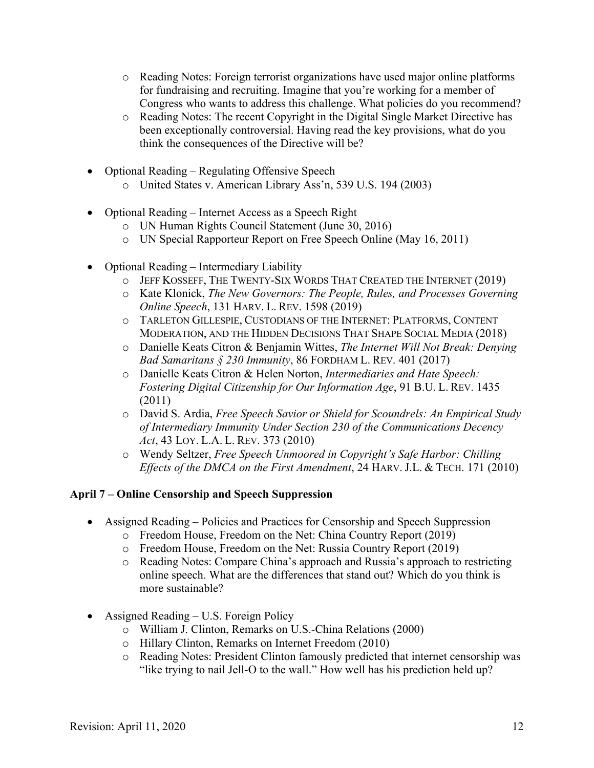- o Reading Notes: Foreign terrorist organizations have used major online platforms for fundraising and recruiting. Imagine that you're working for a member of Congress who wants to address this challenge. What policies do you recommend?
- o Reading Notes: The recent Copyright in the Digital Single Market Directive has been exceptionally controversial. Having read the key provisions, what do you think the consequences of the Directive will be?
- Optional Reading Regulating Offensive Speech
	- o United States v. American Library Ass'n, 539 U.S. 194 (2003)
- Optional Reading Internet Access as a Speech Right
	- o UN Human Rights Council Statement (June 30, 2016)
	- o UN Special Rapporteur Report on Free Speech Online (May 16, 2011)
- Optional Reading Intermediary Liability
	- o JEFF KOSSEFF, THE TWENTY-SIX WORDS THAT CREATED THE INTERNET (2019)
	- o Kate Klonick, *The New Governors: The People, Rules, and Processes Governing Online Speech*, 131 HARV. L. REV. 1598 (2019)
	- o TARLETON GILLESPIE, CUSTODIANS OF THE INTERNET: PLATFORMS, CONTENT MODERATION, AND THE HIDDEN DECISIONS THAT SHAPE SOCIAL MEDIA (2018)
	- o Danielle Keats Citron & Benjamin Wittes, *The Internet Will Not Break: Denying Bad Samaritans § 230 Immunity*, 86 FORDHAM L. REV. 401 (2017)
	- o Danielle Keats Citron & Helen Norton, *Intermediaries and Hate Speech: Fostering Digital Citizenship for Our Information Age*, 91 B.U. L. REV. 1435 (2011)
	- o David S. Ardia, *Free Speech Savior or Shield for Scoundrels: An Empirical Study of Intermediary Immunity Under Section 230 of the Communications Decency Act*, 43 LOY. L.A. L. REV. 373 (2010)
	- o Wendy Seltzer, *Free Speech Unmoored in Copyright's Safe Harbor: Chilling Effects of the DMCA on the First Amendment*, 24 HARV. J.L. & TECH. 171 (2010)

## **April 7 – Online Censorship and Speech Suppression**

- Assigned Reading Policies and Practices for Censorship and Speech Suppression
	- o Freedom House, Freedom on the Net: China Country Report (2019)
	- o Freedom House, Freedom on the Net: Russia Country Report (2019)
	- o Reading Notes: Compare China's approach and Russia's approach to restricting online speech. What are the differences that stand out? Which do you think is more sustainable?
- Assigned Reading U.S. Foreign Policy
	- o William J. Clinton, Remarks on U.S.-China Relations (2000)
	- o Hillary Clinton, Remarks on Internet Freedom (2010)
	- o Reading Notes: President Clinton famously predicted that internet censorship was "like trying to nail Jell-O to the wall." How well has his prediction held up?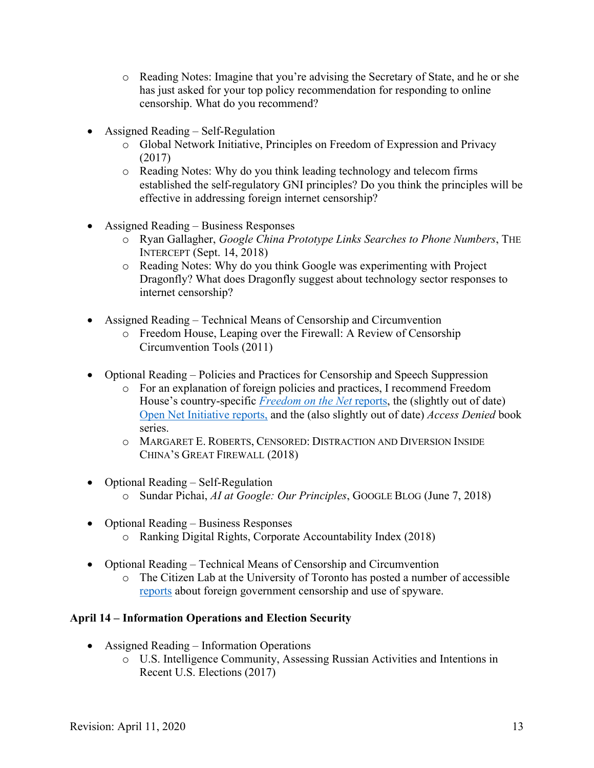- o Reading Notes: Imagine that you're advising the Secretary of State, and he or she has just asked for your top policy recommendation for responding to online censorship. What do you recommend?
- Assigned Reading Self-Regulation
	- o Global Network Initiative, Principles on Freedom of Expression and Privacy (2017)
	- o Reading Notes: Why do you think leading technology and telecom firms established the self-regulatory GNI principles? Do you think the principles will be effective in addressing foreign internet censorship?
- Assigned Reading Business Responses
	- o Ryan Gallagher, *Google China Prototype Links Searches to Phone Numbers*, THE INTERCEPT (Sept. 14, 2018)
	- o Reading Notes: Why do you think Google was experimenting with Project Dragonfly? What does Dragonfly suggest about technology sector responses to internet censorship?
- Assigned Reading Technical Means of Censorship and Circumvention
	- o Freedom House, Leaping over the Firewall: A Review of Censorship Circumvention Tools (2011)
- Optional Reading Policies and Practices for Censorship and Speech Suppression
	- o For an explanation of foreign policies and practices, I recommend Freedom House's country-specific *Freedom on the Net* reports, the (slightly out of date) Open Net Initiative reports, and the (also slightly out of date) *Access Denied* book series.
	- o MARGARET E. ROBERTS, CENSORED: DISTRACTION AND DIVERSION INSIDE CHINA'S GREAT FIREWALL (2018)
- Optional Reading Self-Regulation
	- o Sundar Pichai, *AI at Google: Our Principles*, GOOGLE BLOG (June 7, 2018)
- Optional Reading Business Responses
	- o Ranking Digital Rights, Corporate Accountability Index (2018)
- Optional Reading Technical Means of Censorship and Circumvention
	- o The Citizen Lab at the University of Toronto has posted a number of accessible reports about foreign government censorship and use of spyware.

# **April 14 – Information Operations and Election Security**

- Assigned Reading Information Operations
	- o U.S. Intelligence Community, Assessing Russian Activities and Intentions in Recent U.S. Elections (2017)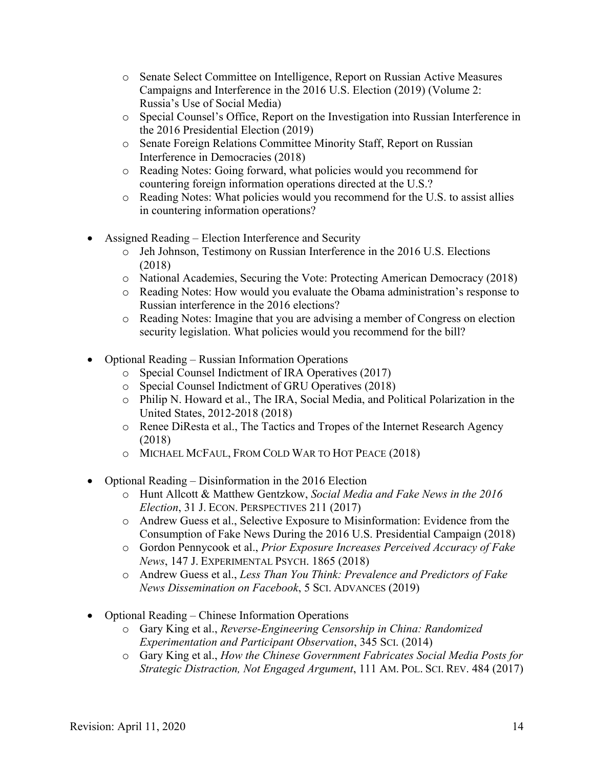- o Senate Select Committee on Intelligence, Report on Russian Active Measures Campaigns and Interference in the 2016 U.S. Election (2019) (Volume 2: Russia's Use of Social Media)
- o Special Counsel's Office, Report on the Investigation into Russian Interference in the 2016 Presidential Election (2019)
- o Senate Foreign Relations Committee Minority Staff, Report on Russian Interference in Democracies (2018)
- o Reading Notes: Going forward, what policies would you recommend for countering foreign information operations directed at the U.S.?
- o Reading Notes: What policies would you recommend for the U.S. to assist allies in countering information operations?
- Assigned Reading Election Interference and Security
	- o Jeh Johnson, Testimony on Russian Interference in the 2016 U.S. Elections (2018)
	- o National Academies, Securing the Vote: Protecting American Democracy (2018)
	- o Reading Notes: How would you evaluate the Obama administration's response to Russian interference in the 2016 elections?
	- o Reading Notes: Imagine that you are advising a member of Congress on election security legislation. What policies would you recommend for the bill?
- Optional Reading Russian Information Operations
	- o Special Counsel Indictment of IRA Operatives (2017)
	- o Special Counsel Indictment of GRU Operatives (2018)
	- o Philip N. Howard et al., The IRA, Social Media, and Political Polarization in the United States, 2012-2018 (2018)
	- o Renee DiResta et al., The Tactics and Tropes of the Internet Research Agency (2018)
	- o MICHAEL MCFAUL, FROM COLD WAR TO HOT PEACE (2018)
- Optional Reading Disinformation in the 2016 Election
	- o Hunt Allcott & Matthew Gentzkow, *Social Media and Fake News in the 2016 Election*, 31 J. ECON. PERSPECTIVES 211 (2017)
	- o Andrew Guess et al., Selective Exposure to Misinformation: Evidence from the Consumption of Fake News During the 2016 U.S. Presidential Campaign (2018)
	- o Gordon Pennycook et al., *Prior Exposure Increases Perceived Accuracy of Fake News*, 147 J. EXPERIMENTAL PSYCH. 1865 (2018)
	- o Andrew Guess et al., *Less Than You Think: Prevalence and Predictors of Fake News Dissemination on Facebook*, 5 SCI. ADVANCES (2019)
- Optional Reading Chinese Information Operations
	- o Gary King et al., *Reverse-Engineering Censorship in China: Randomized Experimentation and Participant Observation*, 345 SCI. (2014)
	- o Gary King et al., *How the Chinese Government Fabricates Social Media Posts for Strategic Distraction, Not Engaged Argument*, 111 AM. POL. SCI. REV. 484 (2017)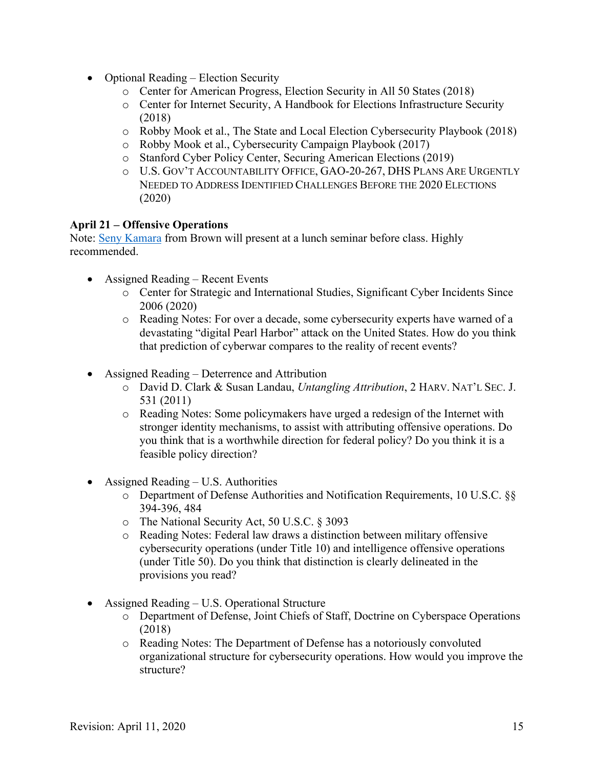- Optional Reading Election Security
	- o Center for American Progress, Election Security in All 50 States (2018)
	- o Center for Internet Security, A Handbook for Elections Infrastructure Security (2018)
	- o Robby Mook et al., The State and Local Election Cybersecurity Playbook (2018)
	- o Robby Mook et al., Cybersecurity Campaign Playbook (2017)
	- o Stanford Cyber Policy Center, Securing American Elections (2019)
	- o U.S. GOV'T ACCOUNTABILITY OFFICE, GAO-20-267, DHS PLANS ARE URGENTLY NEEDED TO ADDRESS IDENTIFIED CHALLENGES BEFORE THE 2020 ELECTIONS (2020)

#### **April 21 – Offensive Operations**

Note: Seny Kamara from Brown will present at a lunch seminar before class. Highly recommended.

- Assigned Reading Recent Events
	- o Center for Strategic and International Studies, Significant Cyber Incidents Since 2006 (2020)
	- o Reading Notes: For over a decade, some cybersecurity experts have warned of a devastating "digital Pearl Harbor" attack on the United States. How do you think that prediction of cyberwar compares to the reality of recent events?
- Assigned Reading Deterrence and Attribution
	- o David D. Clark & Susan Landau, *Untangling Attribution*, 2 HARV. NAT'L SEC. J. 531 (2011)
	- o Reading Notes: Some policymakers have urged a redesign of the Internet with stronger identity mechanisms, to assist with attributing offensive operations. Do you think that is a worthwhile direction for federal policy? Do you think it is a feasible policy direction?
- Assigned Reading U.S. Authorities
	- o Department of Defense Authorities and Notification Requirements, 10 U.S.C. §§ 394-396, 484
	- o The National Security Act, 50 U.S.C. § 3093
	- o Reading Notes: Federal law draws a distinction between military offensive cybersecurity operations (under Title 10) and intelligence offensive operations (under Title 50). Do you think that distinction is clearly delineated in the provisions you read?
- Assigned Reading U.S. Operational Structure
	- o Department of Defense, Joint Chiefs of Staff, Doctrine on Cyberspace Operations (2018)
	- o Reading Notes: The Department of Defense has a notoriously convoluted organizational structure for cybersecurity operations. How would you improve the structure?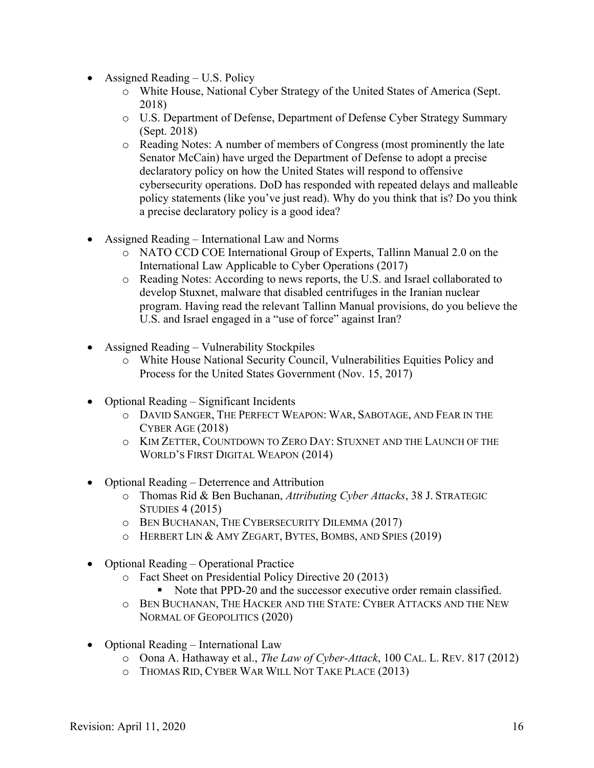- Assigned Reading U.S. Policy
	- o White House, National Cyber Strategy of the United States of America (Sept. 2018)
	- o U.S. Department of Defense, Department of Defense Cyber Strategy Summary (Sept. 2018)
	- o Reading Notes: A number of members of Congress (most prominently the late Senator McCain) have urged the Department of Defense to adopt a precise declaratory policy on how the United States will respond to offensive cybersecurity operations. DoD has responded with repeated delays and malleable policy statements (like you've just read). Why do you think that is? Do you think a precise declaratory policy is a good idea?
- Assigned Reading International Law and Norms
	- o NATO CCD COE International Group of Experts, Tallinn Manual 2.0 on the International Law Applicable to Cyber Operations (2017)
	- o Reading Notes: According to news reports, the U.S. and Israel collaborated to develop Stuxnet, malware that disabled centrifuges in the Iranian nuclear program. Having read the relevant Tallinn Manual provisions, do you believe the U.S. and Israel engaged in a "use of force" against Iran?
- Assigned Reading Vulnerability Stockpiles
	- o White House National Security Council, Vulnerabilities Equities Policy and Process for the United States Government (Nov. 15, 2017)
- Optional Reading Significant Incidents
	- o DAVID SANGER, THE PERFECT WEAPON: WAR, SABOTAGE, AND FEAR IN THE CYBER AGE (2018)
	- o KIM ZETTER, COUNTDOWN TO ZERO DAY: STUXNET AND THE LAUNCH OF THE WORLD'S FIRST DIGITAL WEAPON (2014)
- Optional Reading Deterrence and Attribution
	- o Thomas Rid & Ben Buchanan, *Attributing Cyber Attacks*, 38 J. STRATEGIC STUDIES 4 (2015)
	- o BEN BUCHANAN, THE CYBERSECURITY DILEMMA (2017)
	- o HERBERT LIN & AMY ZEGART, BYTES, BOMBS, AND SPIES (2019)
- Optional Reading Operational Practice
	- o Fact Sheet on Presidential Policy Directive 20 (2013)
		- Note that PPD-20 and the successor executive order remain classified.
	- o BEN BUCHANAN, THE HACKER AND THE STATE: CYBER ATTACKS AND THE NEW NORMAL OF GEOPOLITICS (2020)
- Optional Reading International Law
	- o Oona A. Hathaway et al., *The Law of Cyber-Attack*, 100 CAL. L. REV. 817 (2012)
	- o THOMAS RID, CYBER WAR WILL NOT TAKE PLACE (2013)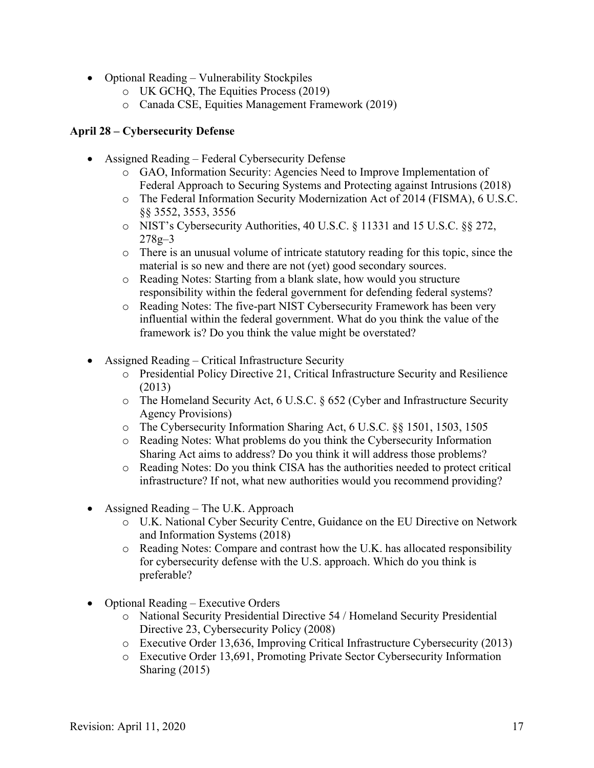- Optional Reading Vulnerability Stockpiles
	- o UK GCHQ, The Equities Process (2019)
	- o Canada CSE, Equities Management Framework (2019)

# **April 28 – Cybersecurity Defense**

- Assigned Reading Federal Cybersecurity Defense
	- o GAO, Information Security: Agencies Need to Improve Implementation of Federal Approach to Securing Systems and Protecting against Intrusions (2018)
	- o The Federal Information Security Modernization Act of 2014 (FISMA), 6 U.S.C. §§ 3552, 3553, 3556
	- o NIST's Cybersecurity Authorities, 40 U.S.C. § 11331 and 15 U.S.C. §§ 272, 278g–3
	- o There is an unusual volume of intricate statutory reading for this topic, since the material is so new and there are not (yet) good secondary sources.
	- o Reading Notes: Starting from a blank slate, how would you structure responsibility within the federal government for defending federal systems?
	- o Reading Notes: The five-part NIST Cybersecurity Framework has been very influential within the federal government. What do you think the value of the framework is? Do you think the value might be overstated?
- Assigned Reading Critical Infrastructure Security
	- o Presidential Policy Directive 21, Critical Infrastructure Security and Resilience (2013)
	- o The Homeland Security Act, 6 U.S.C. § 652 (Cyber and Infrastructure Security Agency Provisions)
	- o The Cybersecurity Information Sharing Act, 6 U.S.C. §§ 1501, 1503, 1505
	- o Reading Notes: What problems do you think the Cybersecurity Information Sharing Act aims to address? Do you think it will address those problems?
	- o Reading Notes: Do you think CISA has the authorities needed to protect critical infrastructure? If not, what new authorities would you recommend providing?
- Assigned Reading The U.K. Approach
	- o U.K. National Cyber Security Centre, Guidance on the EU Directive on Network and Information Systems (2018)
	- o Reading Notes: Compare and contrast how the U.K. has allocated responsibility for cybersecurity defense with the U.S. approach. Which do you think is preferable?
- Optional Reading Executive Orders
	- o National Security Presidential Directive 54 / Homeland Security Presidential Directive 23, Cybersecurity Policy (2008)
	- o Executive Order 13,636, Improving Critical Infrastructure Cybersecurity (2013)
	- o Executive Order 13,691, Promoting Private Sector Cybersecurity Information Sharing (2015)